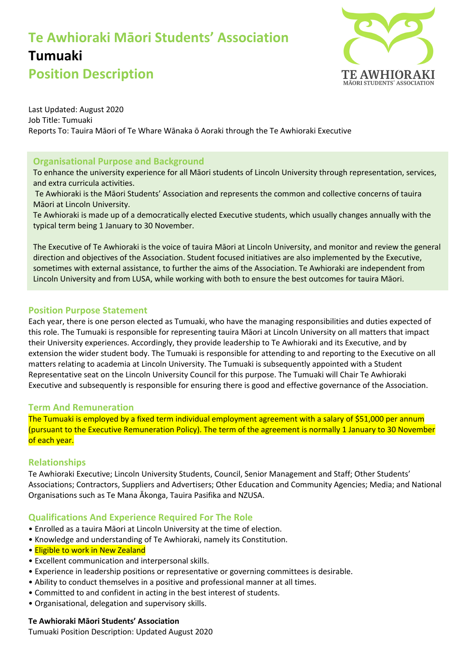# **Te Awhioraki Māori Students' Association Tumuaki Position Description**



Last Updated: August 2020 Job Title: Tumuaki Reports To: Tauira Māori of Te Whare Wānaka ō Aoraki through the Te Awhioraki Executive

# **Organisational Purpose and Background**

To enhance the university experience for all Māori students of Lincoln University through representation, services, and extra curricula activities.

Te Awhioraki is the Māori Students' Association and represents the common and collective concerns of tauira Māori at Lincoln University.

Te Awhioraki is made up of a democratically elected Executive students, which usually changes annually with the typical term being 1 January to 30 November.

The Executive of Te Awhioraki is the voice of tauira Māori at Lincoln University, and monitor and review the general direction and objectives of the Association. Student focused initiatives are also implemented by the Executive, sometimes with external assistance, to further the aims of the Association. Te Awhioraki are independent from Lincoln University and from LUSA, while working with both to ensure the best outcomes for tauira Māori.

## **Position Purpose Statement**

Each year, there is one person elected as Tumuaki, who have the managing responsibilities and duties expected of this role. The Tumuaki is responsible for representing tauira Māori at Lincoln University on all matters that impact their University experiences. Accordingly, they provide leadership to Te Awhioraki and its Executive, and by extension the wider student body. The Tumuaki is responsible for attending to and reporting to the Executive on all matters relating to academia at Lincoln University. The Tumuaki is subsequently appointed with a Student Representative seat on the Lincoln University Council for this purpose. The Tumuaki will Chair Te Awhioraki Executive and subsequently is responsible for ensuring there is good and effective governance of the Association.

## **Term And Remuneration**

The Tumuaki is employed by a fixed term individual employment agreement with a salary of \$51,000 per annum (pursuant to the Executive Remuneration Policy). The term of the agreement is normally 1 January to 30 November of each year.

## **Relationships**

Te Awhioraki Executive; Lincoln University Students, Council, Senior Management and Staff; Other Students' Associations; Contractors, Suppliers and Advertisers; Other Education and Community Agencies; Media; and National Organisations such as Te Mana Ākonga, Tauira Pasifika and NZUSA.

## **Qualifications And Experience Required For The Role**

- Enrolled as a tauira Māori at Lincoln University at the time of election.
- Knowledge and understanding of Te Awhioraki, namely its Constitution.
- Eligible to work in New Zealand
- Excellent communication and interpersonal skills.
- Experience in leadership positions or representative or governing committees is desirable.
- Ability to conduct themselves in a positive and professional manner at all times.
- Committed to and confident in acting in the best interest of students.
- Organisational, delegation and supervisory skills.

#### **Te Awhioraki Māori Students' Association**

Tumuaki Position Description: Updated August 2020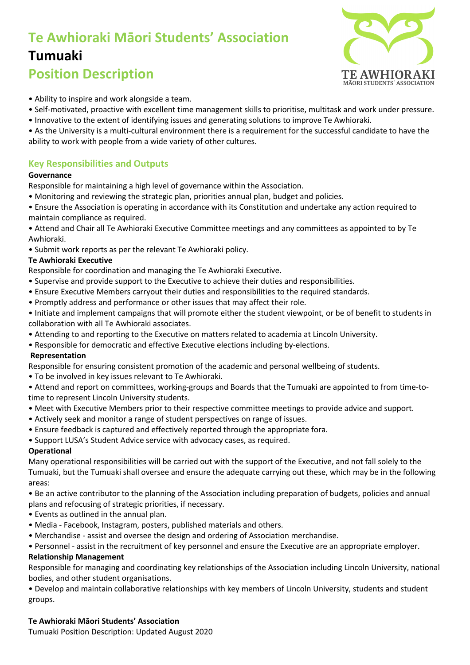# **Te Awhioraki Māori Students' Association Tumuaki**



# **Position Description**

- Ability to inspire and work alongside a team.
- Self-motivated, proactive with excellent time management skills to prioritise, multitask and work under pressure.
- Innovative to the extent of identifying issues and generating solutions to improve Te Awhioraki.
- As the University is a multi-cultural environment there is a requirement for the successful candidate to have the ability to work with people from a wide variety of other cultures.

# **Key Responsibilities and Outputs**

#### **Governance**

Responsible for maintaining a high level of governance within the Association.

- Monitoring and reviewing the strategic plan, priorities annual plan, budget and policies.
- Ensure the Association is operating in accordance with its Constitution and undertake any action required to maintain compliance as required.
- Attend and Chair all Te Awhioraki Executive Committee meetings and any committees as appointed to by Te Awhioraki.
- Submit work reports as per the relevant Te Awhioraki policy.

#### **Te Awhioraki Executive**

Responsible for coordination and managing the Te Awhioraki Executive.

- Supervise and provide support to the Executive to achieve their duties and responsibilities.
- Ensure Executive Members carryout their duties and responsibilities to the required standards.
- Promptly address and performance or other issues that may affect their role.
- Initiate and implement campaigns that will promote either the student viewpoint, or be of benefit to students in collaboration with all Te Awhioraki associates.
- Attending to and reporting to the Executive on matters related to academia at Lincoln University.
- Responsible for democratic and effective Executive elections including by-elections.

#### **Representation**

Responsible for ensuring consistent promotion of the academic and personal wellbeing of students.

- To be involved in key issues relevant to Te Awhioraki.
- Attend and report on committees, working-groups and Boards that the Tumuaki are appointed to from time-totime to represent Lincoln University students.
- Meet with Executive Members prior to their respective committee meetings to provide advice and support.
- Actively seek and monitor a range of student perspectives on range of issues.
- Ensure feedback is captured and effectively reported through the appropriate fora.
- Support LUSA's Student Advice service with advocacy cases, as required.

#### **Operational**

Many operational responsibilities will be carried out with the support of the Executive, and not fall solely to the Tumuaki, but the Tumuaki shall oversee and ensure the adequate carrying out these, which may be in the following areas:

• Be an active contributor to the planning of the Association including preparation of budgets, policies and annual plans and refocusing of strategic priorities, if necessary.

- Events as outlined in the annual plan.
- Media Facebook, Instagram, posters, published materials and others.
- Merchandise assist and oversee the design and ordering of Association merchandise.
- Personnel assist in the recruitment of key personnel and ensure the Executive are an appropriate employer.

#### **Relationship Management**

Responsible for managing and coordinating key relationships of the Association including Lincoln University, national bodies, and other student organisations.

• Develop and maintain collaborative relationships with key members of Lincoln University, students and student groups.

#### **Te Awhioraki Māori Students' Association**

Tumuaki Position Description: Updated August 2020